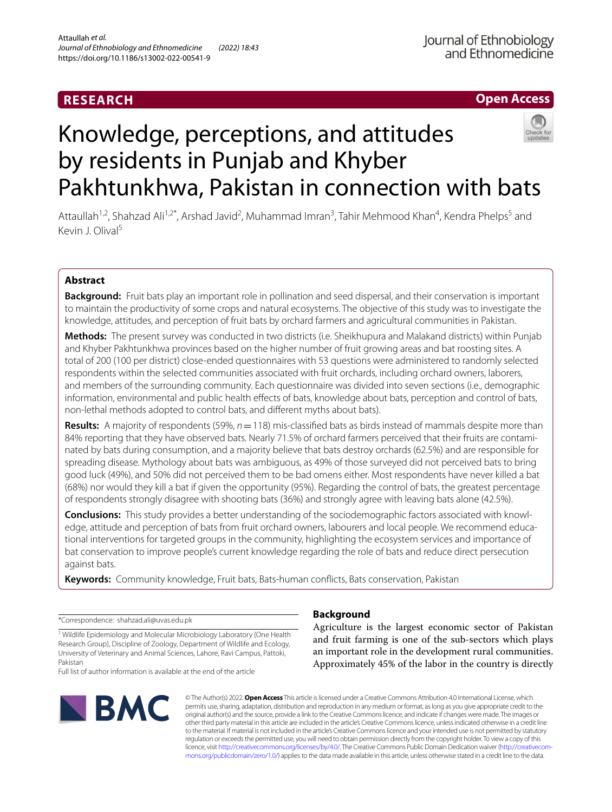# **RESEARCH**

# **Open Access**

# Knowledge, perceptions, and attitudes by residents in Punjab and Khyber Pakhtunkhwa, Pakistan in connection with bats



Attaullah<sup>1,2</sup>, Shahzad Ali<sup>1,2\*</sup>, Arshad Javid<sup>2</sup>, Muhammad Imran<sup>3</sup>, Tahir Mehmood Khan<sup>4</sup>, Kendra Phelps<sup>5</sup> and Kevin J. Olival5

## **Abstract**

**Background:** Fruit bats play an important role in pollination and seed dispersal, and their conservation is important to maintain the productivity of some crops and natural ecosystems. The objective of this study was to investigate the knowledge, attitudes, and perception of fruit bats by orchard farmers and agricultural communities in Pakistan.

**Methods:** The present survey was conducted in two districts (i.e. Sheikhupura and Malakand districts) within Punjab and Khyber Pakhtunkhwa provinces based on the higher number of fruit growing areas and bat roosting sites. A total of 200 (100 per district) close-ended questionnaires with 53 questions were administered to randomly selected respondents within the selected communities associated with fruit orchards, including orchard owners, laborers, and members of the surrounding community. Each questionnaire was divided into seven sections (i.e., demographic information, environmental and public health efects of bats, knowledge about bats, perception and control of bats, non-lethal methods adopted to control bats, and diferent myths about bats).

**Results:** A majority of respondents (59%, *n*=118) mis-classifed bats as birds instead of mammals despite more than 84% reporting that they have observed bats. Nearly 71.5% of orchard farmers perceived that their fruits are contaminated by bats during consumption, and a majority believe that bats destroy orchards (62.5%) and are responsible for spreading disease. Mythology about bats was ambiguous, as 49% of those surveyed did not perceived bats to bring good luck (49%), and 50% did not perceived them to be bad omens either. Most respondents have never killed a bat (68%) nor would they kill a bat if given the opportunity (95%). Regarding the control of bats, the greatest percentage of respondents strongly disagree with shooting bats (36%) and strongly agree with leaving bats alone (42.5%).

**Conclusions:** This study provides a better understanding of the sociodemographic factors associated with knowledge, attitude and perception of bats from fruit orchard owners, labourers and local people. We recommend educational interventions for targeted groups in the community, highlighting the ecosystem services and importance of bat conservation to improve people's current knowledge regarding the role of bats and reduce direct persecution against bats.

**Keywords:** Community knowledge, Fruit bats, Bats-human conficts, Bats conservation, Pakistan

\*Correspondence: shahzad.ali@uvas.edu.pk

<sup>1</sup> Wildlife Epidemiology and Molecular Microbiology Laboratory (One Health Research Group), Discipline of Zoology, Department of Wildlife and Ecology, University of Veterinary and Animal Sciences, Lahore, Ravi Campus, Pattoki, Pakistan Full list of author information is available at the end of the article



# **Background**

Agriculture is the largest economic sector of Pakistan and fruit farming is one of the sub-sectors which plays an important role in the development rural communities. Approximately 45% of the labor in the country is directly

© The Author(s) 2022. **Open Access** This article is licensed under a Creative Commons Attribution 4.0 International License, which permits use, sharing, adaptation, distribution and reproduction in any medium or format, as long as you give appropriate credit to the original author(s) and the source, provide a link to the Creative Commons licence, and indicate if changes were made. The images or other third party material in this article are included in the article's Creative Commons licence, unless indicated otherwise in a credit line to the material. If material is not included in the article's Creative Commons licence and your intended use is not permitted by statutory regulation or exceeds the permitted use, you will need to obtain permission directly from the copyright holder. To view a copy of this licence, visit [http://creativecommons.org/licenses/by/4.0/.](http://creativecommons.org/licenses/by/4.0/) The Creative Commons Public Domain Dedication waiver ([http://creativecom](http://creativecommons.org/publicdomain/zero/1.0/)[mons.org/publicdomain/zero/1.0/\)](http://creativecommons.org/publicdomain/zero/1.0/) applies to the data made available in this article, unless otherwise stated in a credit line to the data.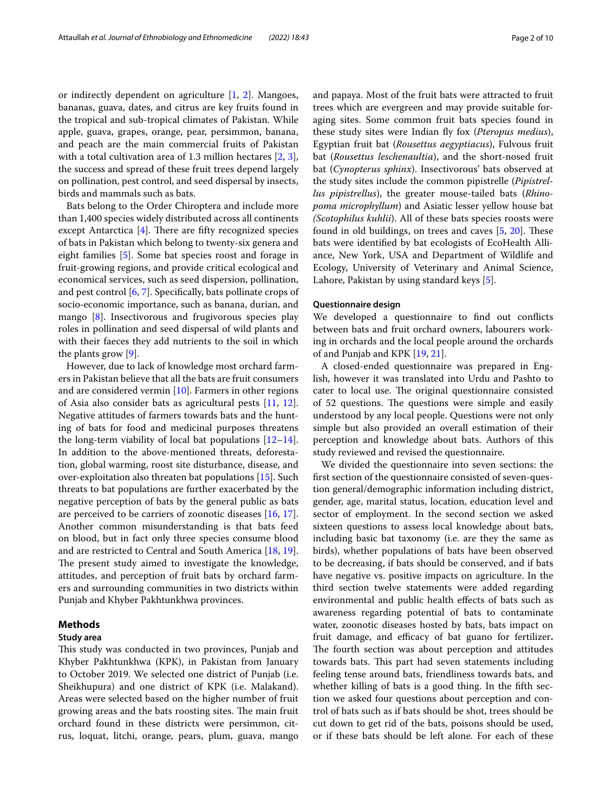or indirectly dependent on agriculture [[1,](#page-8-0) [2](#page-8-1)]. Mangoes, bananas, guava, dates, and citrus are key fruits found in the tropical and sub-tropical climates of Pakistan. While apple, guava, grapes, orange, pear, persimmon, banana, and peach are the main commercial fruits of Pakistan with a total cultivation area of 1.3 million hectares [\[2](#page-8-1), [3](#page-8-2)], the success and spread of these fruit trees depend largely on pollination, pest control, and seed dispersal by insects, birds and mammals such as bats.

Bats belong to the Order Chiroptera and include more than 1,400 species widely distributed across all continents except Antarctica  $[4]$  $[4]$ . There are fifty recognized species of bats in Pakistan which belong to twenty-six genera and eight families [\[5](#page-8-4)]. Some bat species roost and forage in fruit-growing regions, and provide critical ecological and economical services, such as seed dispersion, pollination, and pest control [\[6](#page-8-5), [7\]](#page-8-6). Specifcally, bats pollinate crops of socio‐economic importance, such as banana, durian, and mango [[8\]](#page-8-7). Insectivorous and frugivorous species play roles in pollination and seed dispersal of wild plants and with their faeces they add nutrients to the soil in which the plants grow [\[9](#page-8-8)].

However, due to lack of knowledge most orchard farmers in Pakistan believe that all the bats are fruit consumers and are considered vermin [[10](#page-8-9)]. Farmers in other regions of Asia also consider bats as agricultural pests [[11](#page-8-10), [12](#page-8-11)]. Negative attitudes of farmers towards bats and the hunting of bats for food and medicinal purposes threatens the long-term viability of local bat populations  $[12-14]$  $[12-14]$  $[12-14]$ . In addition to the above-mentioned threats, deforestation, global warming, roost site disturbance, disease, and over-exploitation also threaten bat populations [[15\]](#page-8-13). Such threats to bat populations are further exacerbated by the negative perception of bats by the general public as bats are perceived to be carriers of zoonotic diseases [\[16](#page-8-14), [17](#page-8-15)]. Another common misunderstanding is that bats feed on blood, but in fact only three species consume blood and are restricted to Central and South America [[18,](#page-8-16) [19](#page-8-17)]. The present study aimed to investigate the knowledge, attitudes, and perception of fruit bats by orchard farmers and surrounding communities in two districts within Punjab and Khyber Pakhtunkhwa provinces.

#### **Methods**

## **Study area**

This study was conducted in two provinces, Punjab and Khyber Pakhtunkhwa (KPK), in Pakistan from January to October 2019. We selected one district of Punjab (i.e. Sheikhupura) and one district of KPK (i.e. Malakand). Areas were selected based on the higher number of fruit growing areas and the bats roosting sites. The main fruit orchard found in these districts were persimmon, citrus, loquat, litchi, orange, pears, plum, guava, mango and papaya. Most of the fruit bats were attracted to fruit trees which are evergreen and may provide suitable foraging sites. Some common fruit bats species found in these study sites were Indian fy fox (*Pteropus medius*), Egyptian fruit bat (*Rousettus aegyptiacus*), Fulvous fruit bat (*Rousettus leschenaultia*), and the short-nosed fruit bat (*Cynopterus sphinx*). Insectivorous' bats observed at the study sites include the common pipistrelle (*Pipistrellus pipistrellus*), the greater mouse-tailed bats (*Rhinopoma microphyllum*) and Asiatic lesser yellow house bat *(Scotophilus kuhlii*). All of these bats species roosts were found in old buildings, on trees and caves  $[5, 20]$  $[5, 20]$  $[5, 20]$  $[5, 20]$ . These bats were identifed by bat ecologists of EcoHealth Alliance, New York, USA and Department of Wildlife and Ecology, University of Veterinary and Animal Science, Lahore, Pakistan by using standard keys [[5\]](#page-8-4).

#### **Questionnaire design**

We developed a questionnaire to fnd out conficts between bats and fruit orchard owners, labourers working in orchards and the local people around the orchards of and Punjab and KPK [\[19](#page-8-17), [21](#page-8-19)].

A closed-ended questionnaire was prepared in English, however it was translated into Urdu and Pashto to cater to local use. The original questionnaire consisted of 52 questions. The questions were simple and easily understood by any local people. Questions were not only simple but also provided an overall estimation of their perception and knowledge about bats. Authors of this study reviewed and revised the questionnaire.

We divided the questionnaire into seven sections: the frst section of the questionnaire consisted of seven-question general/demographic information including district, gender, age, marital status, location, education level and sector of employment. In the second section we asked sixteen questions to assess local knowledge about bats, including basic bat taxonomy (i.e. are they the same as birds), whether populations of bats have been observed to be decreasing, if bats should be conserved, and if bats have negative vs. positive impacts on agriculture. In the third section twelve statements were added regarding environmental and public health efects of bats such as awareness regarding potential of bats to contaminate water, zoonotic diseases hosted by bats, bats impact on fruit damage, and efficacy of bat guano for fertilizer. The fourth section was about perception and attitudes towards bats. This part had seven statements including feeling tense around bats, friendliness towards bats, and whether killing of bats is a good thing. In the fifth section we asked four questions about perception and control of bats such as if bats should be shot, trees should be cut down to get rid of the bats, poisons should be used, or if these bats should be left alone. For each of these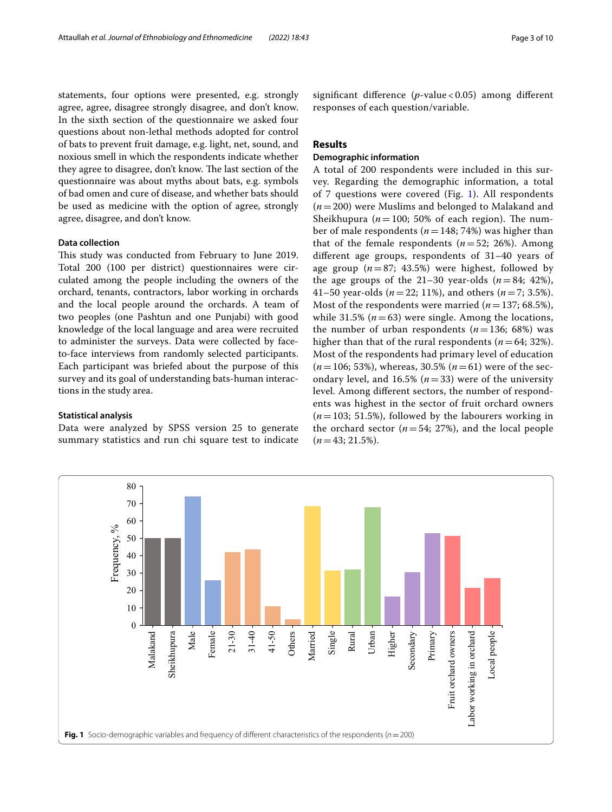statements, four options were presented, e.g. strongly agree, agree, disagree strongly disagree, and don't know. In the sixth section of the questionnaire we asked four questions about non-lethal methods adopted for control of bats to prevent fruit damage, e.g. light, net, sound, and noxious smell in which the respondents indicate whether they agree to disagree, don't know. The last section of the questionnaire was about myths about bats, e.g. symbols of bad omen and cure of disease, and whether bats should be used as medicine with the option of agree, strongly agree, disagree, and don't know.

#### **Data collection**

This study was conducted from February to June 2019. Total 200 (100 per district) questionnaires were circulated among the people including the owners of the orchard, tenants, contractors, labor working in orchards and the local people around the orchards. A team of two peoples (one Pashtun and one Punjabi) with good knowledge of the local language and area were recruited to administer the surveys. Data were collected by faceto-face interviews from randomly selected participants. Each participant was briefed about the purpose of this survey and its goal of understanding bats-human interactions in the study area.

#### **Statistical analysis**

Data were analyzed by SPSS version 25 to generate summary statistics and run chi square test to indicate signifcant diference (*p*-value < 0.05) among diferent responses of each question/variable.

## **Results**

## **Demographic information**

A total of 200 respondents were included in this survey. Regarding the demographic information, a total of 7 questions were covered (Fig. [1](#page-2-0)). All respondents (*n*=200) were Muslims and belonged to Malakand and Sheikhupura ( $n=100$ ; 50% of each region). The number of male respondents (*n*=148; 74%) was higher than that of the female respondents  $(n=52; 26%)$ . Among diferent age groups, respondents of 31–40 years of age group (*n*=87; 43.5%) were highest, followed by the age groups of the  $21-30$  year-olds  $(n=84; 42\%)$ , 41–50 year-olds (*n*=22; 11%), and others (*n*=7; 3.5%). Most of the respondents were married  $(n=137; 68.5\%)$ , while 31.5%  $(n=63)$  were single. Among the locations, the number of urban respondents  $(n=136; 68%)$  was higher than that of the rural respondents  $(n=64; 32%)$ . Most of the respondents had primary level of education (*n*=106; 53%), whereas, 30.5% (*n*=61) were of the secondary level, and 16.5%  $(n=33)$  were of the university level. Among diferent sectors, the number of respondents was highest in the sector of fruit orchard owners  $(n=103; 51.5%)$ , followed by the labourers working in the orchard sector  $(n=54; 27%)$ , and the local people  $(n=43; 21.5\%).$ 

<span id="page-2-0"></span>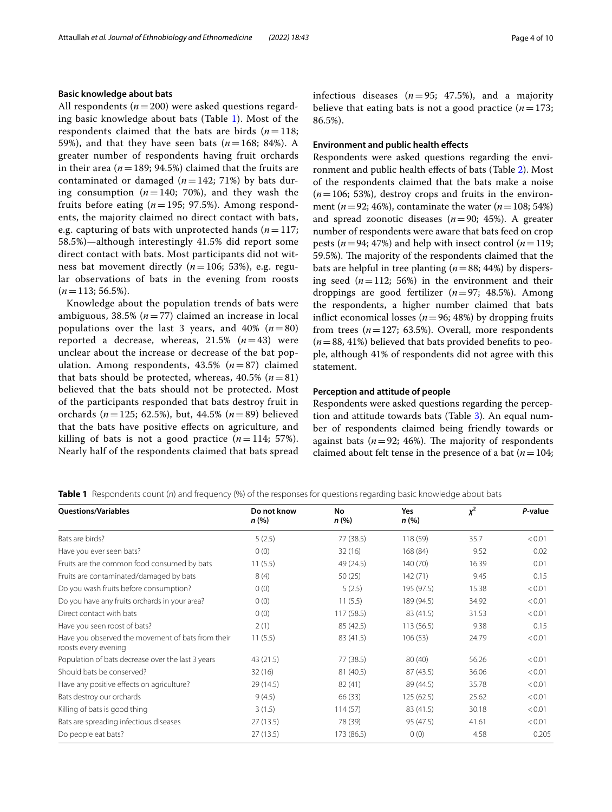### **Basic knowledge about bats**

All respondents ( $n=200$ ) were asked questions regarding basic knowledge about bats (Table [1\)](#page-3-0). Most of the respondents claimed that the bats are birds  $(n=118;$ 59%), and that they have seen bats  $(n=168; 84%)$ . A greater number of respondents having fruit orchards in their area  $(n=189; 94.5%)$  claimed that the fruits are contaminated or damaged  $(n=142; 71%)$  by bats during consumption  $(n=140; 70%)$ , and they wash the fruits before eating (*n*=195; 97.5%). Among respondents, the majority claimed no direct contact with bats, e.g. capturing of bats with unprotected hands ( $n=117$ ; 58.5%)—although interestingly 41.5% did report some direct contact with bats. Most participants did not witness bat movement directly (*n*=106; 53%), e.g. regular observations of bats in the evening from roosts  $(n=113; 56.5\%).$ 

Knowledge about the population trends of bats were ambiguous, 38.5% (*n*=77) claimed an increase in local populations over the last 3 years, and 40%  $(n=80)$ reported a decrease, whereas,  $21.5\%$   $(n=43)$  were unclear about the increase or decrease of the bat population. Among respondents, 43.5% (*n*=87) claimed that bats should be protected, whereas,  $40.5\%$  ( $n=81$ ) believed that the bats should not be protected. Most of the participants responded that bats destroy fruit in orchards (*n*=125; 62.5%), but, 44.5% (*n*=89) believed that the bats have positive efects on agriculture, and killing of bats is not a good practice  $(n=114; 57\%).$ Nearly half of the respondents claimed that bats spread

infectious diseases  $(n=95; 47.5)$ , and a majority believe that eating bats is not a good practice  $(n=173;$ 86.5%).

#### **Environment and public health efects**

Respondents were asked questions regarding the environment and public health efects of bats (Table [2](#page-4-0)). Most of the respondents claimed that the bats make a noise  $(n=106; 53%)$ , destroy crops and fruits in the environment (*n*=92; 46%), contaminate the water (*n*=108; 54%) and spread zoonotic diseases (*n*=90; 45%). A greater number of respondents were aware that bats feed on crop pests ( $n=94$ ; 47%) and help with insect control ( $n=119$ ; 59.5%). The majority of the respondents claimed that the bats are helpful in tree planting (*n*=88; 44%) by dispersing seed  $(n=112; 56%)$  in the environment and their droppings are good fertilizer (*n*=97; 48.5%). Among the respondents, a higher number claimed that bats inflict economical losses ( $n=96$ ; 48%) by dropping fruits from trees  $(n=127; 63.5%)$ . Overall, more respondents (*n*=88, 41%) believed that bats provided benefts to people, although 41% of respondents did not agree with this statement.

## **Perception and attitude of people**

Respondents were asked questions regarding the perception and attitude towards bats (Table [3\)](#page-4-1). An equal number of respondents claimed being friendly towards or against bats  $(n=92; 46%)$ . The majority of respondents claimed about felt tense in the presence of a bat  $(n=104;$ 

<span id="page-3-0"></span>**Table 1** Respondents count (*n*) and frequency (%) of the responses for questions regarding basic knowledge about bats

| <b>Ouestions/Variables</b>                                                | Do not know<br>n (%) | No<br>n (%) | Yes<br>n(%) | $x^2$ | P-value |
|---------------------------------------------------------------------------|----------------------|-------------|-------------|-------|---------|
| Bats are birds?                                                           | 5(2.5)               | 77 (38.5)   | 118 (59)    | 35.7  | < 0.01  |
| Have you ever seen bats?                                                  | 0(0)                 | 32(16)      | 168 (84)    | 9.52  | 0.02    |
| Fruits are the common food consumed by bats                               | 11(5.5)              | 49 (24.5)   | 140 (70)    | 16.39 | 0.01    |
| Fruits are contaminated/damaged by bats                                   | 8(4)                 | 50(25)      | 142 (71)    | 9.45  | 0.15    |
| Do you wash fruits before consumption?                                    | 0(0)                 | 5(2.5)      | 195 (97.5)  | 15.38 | < 0.01  |
| Do you have any fruits orchards in your area?                             | 0(0)                 | 11(5.5)     | 189 (94.5)  | 34.92 | < 0.01  |
| Direct contact with bats                                                  | 0(0)                 | 117(58.5)   | 83 (41.5)   | 31.53 | < 0.01  |
| Have you seen roost of bats?                                              | 2(1)                 | 85 (42.5)   | 113(56.5)   | 9.38  | 0.15    |
| Have you observed the movement of bats from their<br>roosts every evening | 11(5.5)              | 83 (41.5)   | 106(53)     | 24.79 | < 0.01  |
| Population of bats decrease over the last 3 years                         | 43(21.5)             | 77 (38.5)   | 80(40)      | 56.26 | < 0.01  |
| Should bats be conserved?                                                 | 32(16)               | 81 (40.5)   | 87 (43.5)   | 36.06 | < 0.01  |
| Have any positive effects on agriculture?                                 | 29 (14.5)            | 82(41)      | 89 (44.5)   | 35.78 | < 0.01  |
| Bats destroy our orchards                                                 | 9(4.5)               | 66 (33)     | 125(62.5)   | 25.62 | < 0.01  |
| Killing of bats is good thing                                             | 3(1.5)               | 114(57)     | 83 (41.5)   | 30.18 | < 0.01  |
| Bats are spreading infectious diseases                                    | 27(13.5)             | 78 (39)     | 95 (47.5)   | 41.61 | < 0.01  |
| Do people eat bats?                                                       | 27(13.5)             | 173 (86.5)  | 0(0)        | 4.58  | 0.205   |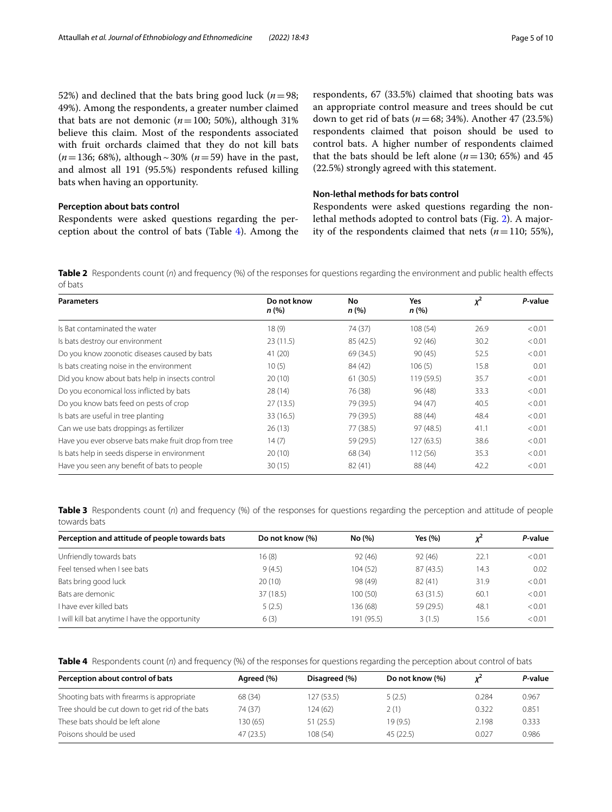52%) and declined that the bats bring good luck ( $n=98$ ; 49%). Among the respondents, a greater number claimed that bats are not demonic ( $n=100$ ; 50%), although 31% believe this claim. Most of the respondents associated with fruit orchards claimed that they do not kill bats (*n*=136; 68%), although~30% (*n*=59) have in the past, and almost all 191 (95.5%) respondents refused killing bats when having an opportunity.

## **Perception about bats control**

Respondents were asked questions regarding the perception about the control of bats (Table [4](#page-4-2)). Among the respondents, 67 (33.5%) claimed that shooting bats was an appropriate control measure and trees should be cut down to get rid of bats (*n*=68; 34%). Another 47 (23.5%) respondents claimed that poison should be used to control bats. A higher number of respondents claimed that the bats should be left alone  $(n=130; 65%)$  and 45 (22.5%) strongly agreed with this statement.

## **Non-lethal methods for bats control**

Respondents were asked questions regarding the nonlethal methods adopted to control bats (Fig. [2](#page-5-0)). A majority of the respondents claimed that nets  $(n=110; 55\%)$ ,

<span id="page-4-0"></span>**Table 2** Respondents count (*n*) and frequency (%) of the responses for questions regarding the environment and public health effects of bats

| <b>Parameters</b>                                    | Do not know<br>n (%)  | No<br>n(%) | Yes<br>n(%) | $x^2$ | P-value |
|------------------------------------------------------|-----------------------|------------|-------------|-------|---------|
| Is Bat contaminated the water                        | 18(9)                 | 74 (37)    | 108 (54)    | 26.9  | < 0.01  |
| Is bats destroy our environment                      | 23(11.5)<br>85 (42.5) |            | 92(46)      | 30.2  | < 0.01  |
| Do you know zoonotic diseases caused by bats         | 41 (20)               | 69 (34.5)  | 90(45)      | 52.5  | < 0.01  |
| Is bats creating noise in the environment            | 10(5)                 | 84 (42)    | 106(5)      | 15.8  | 0.01    |
| Did you know about bats help in insects control      | 20(10)                | 61(30.5)   | 119(59.5)   | 35.7  | < 0.01  |
| Do you economical loss inflicted by bats             | 28(14)                | 76 (38)    | 96(48)      | 33.3  | < 0.01  |
| Do you know bats feed on pests of crop               | 27(13.5)              | 79 (39.5)  | 94 (47)     | 40.5  | < 0.01  |
| Is bats are useful in tree planting                  | 33 (16.5)             | 79 (39.5)  | 88 (44)     | 48.4  | < 0.01  |
| Can we use bats droppings as fertilizer              | 26(13)                | 77 (38.5)  | 97 (48.5)   | 41.1  | < 0.01  |
| Have you ever observe bats make fruit drop from tree | 14(7)                 | 59 (29.5)  | 127 (63.5)  | 38.6  | < 0.01  |
| Is bats help in seeds disperse in environment        | 20(10)                | 68 (34)    | 112(56)     | 35.3  | < 0.01  |
| Have you seen any benefit of bats to people          | 30(15)                | 82(41)     | 88 (44)     | 42.2  | < 0.01  |

<span id="page-4-1"></span>**Table 3** Respondents count (n) and frequency (%) of the responses for questions regarding the perception and attitude of people towards bats

| Perception and attitude of people towards bats | Do not know (%) | No (%)     | Yes (%)   |      | P-value |
|------------------------------------------------|-----------------|------------|-----------|------|---------|
| Unfriendly towards bats                        | 16 (8)          | 92(46)     | 92(46)    | 22.1 | < 0.01  |
| Feel tensed when I see bats                    | 9(4.5)          | 104 (52)   | 87(43.5)  | 14.3 | 0.02    |
| Bats bring good luck                           | 20(10)          | 98 (49)    | 82(41)    | 31.9 | < 0.01  |
| Bats are demonic                               | 37 (18.5)       | 100 (50)   | 63 (31.5) | 60.1 | < 0.01  |
| l have ever killed bats.                       | 5(2.5)          | 136 (68)   | 59 (29.5) | 48.1 | < 0.01  |
| I will kill bat anytime I have the opportunity | 6(3)            | 191 (95.5) | 3(1.5)    | 15.6 | < 0.01  |

<span id="page-4-2"></span>**Table 4** Respondents count (*n*) and frequency (%) of the responses for questions regarding the perception about control of bats

| Perception about control of bats               | Agreed (%) | Disagreed (%) | Do not know (%) | v     | P-value |
|------------------------------------------------|------------|---------------|-----------------|-------|---------|
| Shooting bats with firearms is appropriate     | 68 (34)    | 127(53.5)     | 5(2.5)          | 0.284 | 0.967   |
| Tree should be cut down to get rid of the bats | 74 (37)    | 124(62)       | 2(1)            | 0.322 | 0.851   |
| These bats should be left alone                | 130 (65)   | 51(25.5)      | 19(9.5)         | 2.198 | 0.333   |
| Poisons should be used                         | 47(23.5)   | 108(54)       | 45(22.5)        | 0.027 | 0.986   |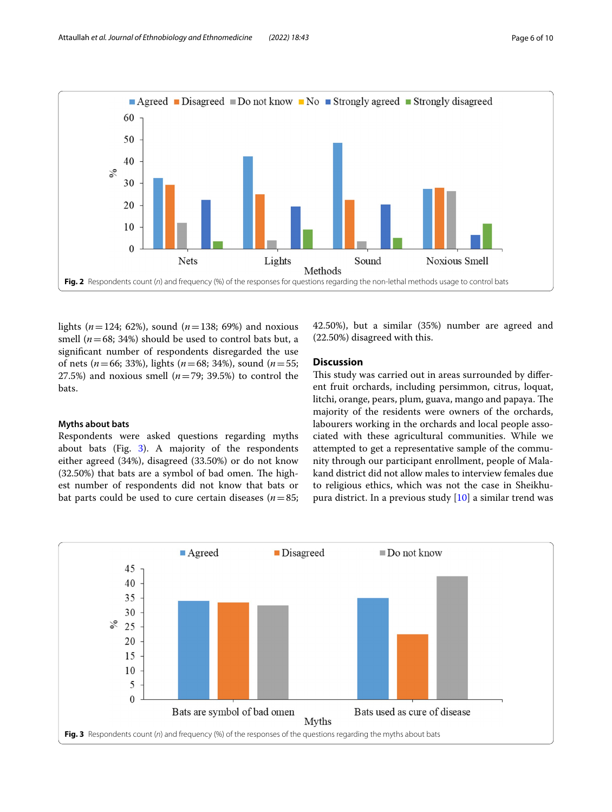

<span id="page-5-0"></span>lights ( $n = 124$ ; 62%), sound ( $n = 138$ ; 69%) and noxious smell  $(n=68; 34%)$  should be used to control bats but, a signifcant number of respondents disregarded the use of nets (*n*=66; 33%), lights (*n*=68; 34%), sound (*n*=55; 27.5%) and noxious smell  $(n=79; 39.5%)$  to control the bats.

## **Myths about bats**

Respondents were asked questions regarding myths about bats (Fig.  $3$ ). A majority of the respondents either agreed (34%), disagreed (33.50%) or do not know  $(32.50%)$  that bats are a symbol of bad omen. The highest number of respondents did not know that bats or bat parts could be used to cure certain diseases ( $n=85$ ; 42.50%), but a similar (35%) number are agreed and (22.50%) disagreed with this.

## **Discussion**

This study was carried out in areas surrounded by different fruit orchards, including persimmon, citrus, loquat, litchi, orange, pears, plum, guava, mango and papaya. The majority of the residents were owners of the orchards, labourers working in the orchards and local people associated with these agricultural communities. While we attempted to get a representative sample of the community through our participant enrollment, people of Malakand district did not allow males to interview females due to religious ethics, which was not the case in Sheikhupura district. In a previous study [[10\]](#page-8-9) a similar trend was

<span id="page-5-1"></span>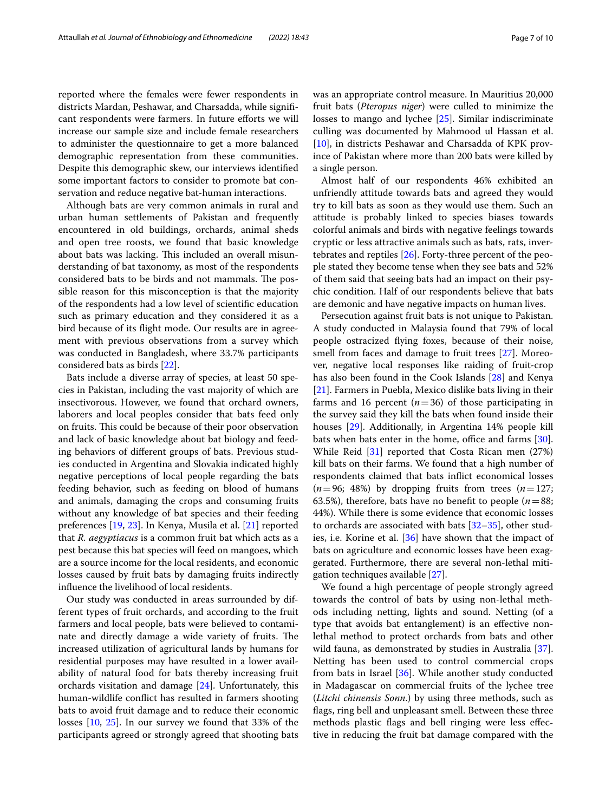reported where the females were fewer respondents in districts Mardan, Peshawar, and Charsadda, while signifcant respondents were farmers. In future efforts we will increase our sample size and include female researchers to administer the questionnaire to get a more balanced demographic representation from these communities. Despite this demographic skew, our interviews identifed some important factors to consider to promote bat conservation and reduce negative bat-human interactions.

Although bats are very common animals in rural and urban human settlements of Pakistan and frequently encountered in old buildings, orchards, animal sheds and open tree roosts, we found that basic knowledge about bats was lacking. This included an overall misunderstanding of bat taxonomy, as most of the respondents considered bats to be birds and not mammals. The possible reason for this misconception is that the majority of the respondents had a low level of scientifc education such as primary education and they considered it as a bird because of its fight mode. Our results are in agreement with previous observations from a survey which was conducted in Bangladesh, where 33.7% participants considered bats as birds [[22](#page-8-20)].

Bats include a diverse array of species, at least 50 species in Pakistan, including the vast majority of which are insectivorous. However, we found that orchard owners, laborers and local peoples consider that bats feed only on fruits. This could be because of their poor observation and lack of basic knowledge about bat biology and feeding behaviors of diferent groups of bats. Previous studies conducted in Argentina and Slovakia indicated highly negative perceptions of local people regarding the bats feeding behavior, such as feeding on blood of humans and animals, damaging the crops and consuming fruits without any knowledge of bat species and their feeding preferences [\[19](#page-8-17), [23\]](#page-8-21). In Kenya, Musila et al. [\[21](#page-8-19)] reported that *R. aegyptiacus* is a common fruit bat which acts as a pest because this bat species will feed on mangoes, which are a source income for the local residents, and economic losses caused by fruit bats by damaging fruits indirectly infuence the livelihood of local residents.

Our study was conducted in areas surrounded by different types of fruit orchards, and according to the fruit farmers and local people, bats were believed to contaminate and directly damage a wide variety of fruits. The increased utilization of agricultural lands by humans for residential purposes may have resulted in a lower availability of natural food for bats thereby increasing fruit orchards visitation and damage [\[24](#page-9-0)]. Unfortunately, this human-wildlife confict has resulted in farmers shooting bats to avoid fruit damage and to reduce their economic losses [\[10](#page-8-9), [25\]](#page-9-1). In our survey we found that 33% of the participants agreed or strongly agreed that shooting bats was an appropriate control measure. In Mauritius 20,000 fruit bats (*Pteropus niger*) were culled to minimize the losses to mango and lychee [\[25](#page-9-1)]. Similar indiscriminate culling was documented by Mahmood ul Hassan et al. [[10\]](#page-8-9), in districts Peshawar and Charsadda of KPK province of Pakistan where more than 200 bats were killed by a single person.

Almost half of our respondents 46% exhibited an unfriendly attitude towards bats and agreed they would try to kill bats as soon as they would use them. Such an attitude is probably linked to species biases towards colorful animals and birds with negative feelings towards cryptic or less attractive animals such as bats, rats, invertebrates and reptiles [\[26](#page-9-2)]. Forty-three percent of the people stated they become tense when they see bats and 52% of them said that seeing bats had an impact on their psychic condition. Half of our respondents believe that bats are demonic and have negative impacts on human lives.

Persecution against fruit bats is not unique to Pakistan. A study conducted in Malaysia found that 79% of local people ostracized fying foxes, because of their noise, smell from faces and damage to fruit trees [[27\]](#page-9-3). Moreover, negative local responses like raiding of fruit-crop has also been found in the Cook Islands [[28\]](#page-9-4) and Kenya [[21\]](#page-8-19). Farmers in Puebla, Mexico dislike bats living in their farms and 16 percent  $(n=36)$  of those participating in the survey said they kill the bats when found inside their houses [\[29](#page-9-5)]. Additionally, in Argentina 14% people kill bats when bats enter in the home, office and farms [\[30](#page-9-6)]. While Reid [[31\]](#page-9-7) reported that Costa Rican men (27%) kill bats on their farms. We found that a high number of respondents claimed that bats infict economical losses  $(n=96; 48%)$  by dropping fruits from trees  $(n=127;$ 63.5%), therefore, bats have no benefit to people ( $n=88$ ; 44%). While there is some evidence that economic losses to orchards are associated with bats [[32–](#page-9-8)[35](#page-9-9)], other studies, i.e. Korine et al. [\[36](#page-9-10)] have shown that the impact of bats on agriculture and economic losses have been exaggerated. Furthermore, there are several non-lethal mitigation techniques available [\[27](#page-9-3)].

We found a high percentage of people strongly agreed towards the control of bats by using non-lethal methods including netting, lights and sound. Netting (of a type that avoids bat entanglement) is an efective nonlethal method to protect orchards from bats and other wild fauna, as demonstrated by studies in Australia [\[37](#page-9-11)]. Netting has been used to control commercial crops from bats in Israel [\[36](#page-9-10)]. While another study conducted in Madagascar on commercial fruits of the lychee tree (*Litchi chinensis Sonn*.) by using three methods, such as fags, ring bell and unpleasant smell. Between these three methods plastic fags and bell ringing were less efective in reducing the fruit bat damage compared with the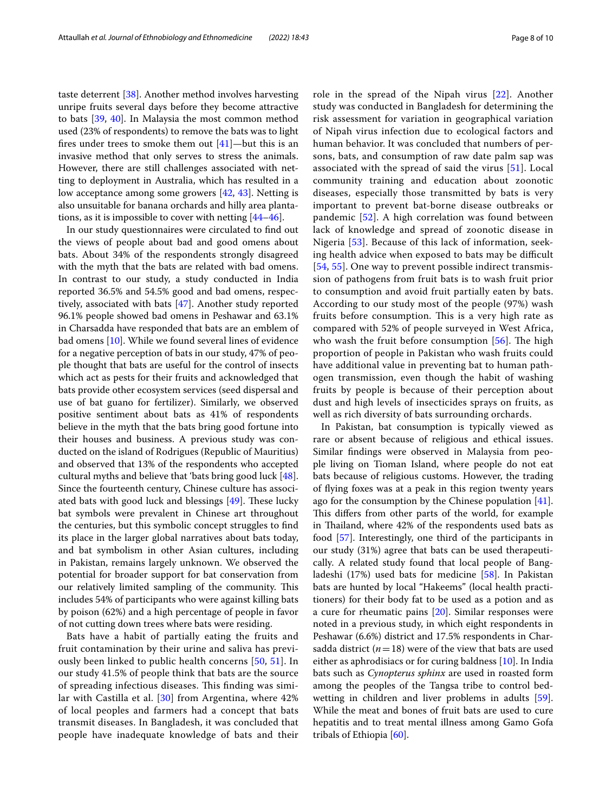taste deterrent [[38](#page-9-12)]. Another method involves harvesting unripe fruits several days before they become attractive to bats [[39,](#page-9-13) [40](#page-9-14)]. In Malaysia the most common method used (23% of respondents) to remove the bats was to light fires under trees to smoke them out  $[41]$  $[41]$  $[41]$ —but this is an invasive method that only serves to stress the animals. However, there are still challenges associated with netting to deployment in Australia, which has resulted in a low acceptance among some growers [[42](#page-9-16), [43](#page-9-17)]. Netting is also unsuitable for banana orchards and hilly area plantations, as it is impossible to cover with netting [[44–](#page-9-18)[46\]](#page-9-19).

In our study questionnaires were circulated to fnd out the views of people about bad and good omens about bats. About 34% of the respondents strongly disagreed with the myth that the bats are related with bad omens. In contrast to our study, a study conducted in India reported 36.5% and 54.5% good and bad omens, respectively, associated with bats [\[47](#page-9-20)]. Another study reported 96.1% people showed bad omens in Peshawar and 63.1% in Charsadda have responded that bats are an emblem of bad omens [[10\]](#page-8-9). While we found several lines of evidence for a negative perception of bats in our study, 47% of people thought that bats are useful for the control of insects which act as pests for their fruits and acknowledged that bats provide other ecosystem services (seed dispersal and use of bat guano for fertilizer). Similarly, we observed positive sentiment about bats as 41% of respondents believe in the myth that the bats bring good fortune into their houses and business. A previous study was conducted on the island of Rodrigues (Republic of Mauritius) and observed that 13% of the respondents who accepted cultural myths and believe that 'bats bring good luck [\[48](#page-9-21)]. Since the fourteenth century, Chinese culture has associated bats with good luck and blessings  $[49]$  $[49]$ . These lucky bat symbols were prevalent in Chinese art throughout the centuries, but this symbolic concept struggles to fnd its place in the larger global narratives about bats today, and bat symbolism in other Asian cultures, including in Pakistan, remains largely unknown. We observed the potential for broader support for bat conservation from our relatively limited sampling of the community. This includes 54% of participants who were against killing bats by poison (62%) and a high percentage of people in favor of not cutting down trees where bats were residing.

Bats have a habit of partially eating the fruits and fruit contamination by their urine and saliva has previously been linked to public health concerns [[50,](#page-9-23) [51](#page-9-24)]. In our study 41.5% of people think that bats are the source of spreading infectious diseases. This finding was similar with Castilla et al. [[30](#page-9-6)] from Argentina, where 42% of local peoples and farmers had a concept that bats transmit diseases. In Bangladesh, it was concluded that people have inadequate knowledge of bats and their role in the spread of the Nipah virus [[22\]](#page-8-20). Another study was conducted in Bangladesh for determining the risk assessment for variation in geographical variation of Nipah virus infection due to ecological factors and human behavior. It was concluded that numbers of persons, bats, and consumption of raw date palm sap was associated with the spread of said the virus [[51\]](#page-9-24). Local community training and education about zoonotic diseases, especially those transmitted by bats is very important to prevent bat-borne disease outbreaks or pandemic [[52](#page-9-25)]. A high correlation was found between lack of knowledge and spread of zoonotic disease in Nigeria [\[53\]](#page-9-26). Because of this lack of information, seeking health advice when exposed to bats may be difficult [[54](#page-9-27), [55](#page-9-28)]. One way to prevent possible indirect transmission of pathogens from fruit bats is to wash fruit prior to consumption and avoid fruit partially eaten by bats. According to our study most of the people (97%) wash fruits before consumption. This is a very high rate as compared with 52% of people surveyed in West Africa, who wash the fruit before consumption  $[56]$  $[56]$ . The high proportion of people in Pakistan who wash fruits could have additional value in preventing bat to human pathogen transmission, even though the habit of washing fruits by people is because of their perception about dust and high levels of insecticides sprays on fruits, as well as rich diversity of bats surrounding orchards.

In Pakistan, bat consumption is typically viewed as rare or absent because of religious and ethical issues. Similar fndings were observed in Malaysia from people living on Tioman Island, where people do not eat bats because of religious customs. However, the trading of fying foxes was at a peak in this region twenty years ago for the consumption by the Chinese population [\[41](#page-9-15)]. This differs from other parts of the world, for example in Thailand, where 42% of the respondents used bats as food [\[57](#page-9-30)]. Interestingly, one third of the participants in our study (31%) agree that bats can be used therapeutically. A related study found that local people of Bangladeshi (17%) used bats for medicine [\[58](#page-9-31)]. In Pakistan bats are hunted by local "Hakeems" (local health practitioners) for their body fat to be used as a potion and as a cure for rheumatic pains [[20](#page-8-18)]. Similar responses were noted in a previous study, in which eight respondents in Peshawar (6.6%) district and 17.5% respondents in Charsadda district  $(n=18)$  were of the view that bats are used either as aphrodisiacs or for curing baldness [[10\]](#page-8-9). In India bats such as *Cynopterus sphinx* are used in roasted form among the peoples of the Tangsa tribe to control bedwetting in children and liver problems in adults [\[59](#page-9-32)]. While the meat and bones of fruit bats are used to cure hepatitis and to treat mental illness among Gamo Gofa tribals of Ethiopia [[60\]](#page-9-33).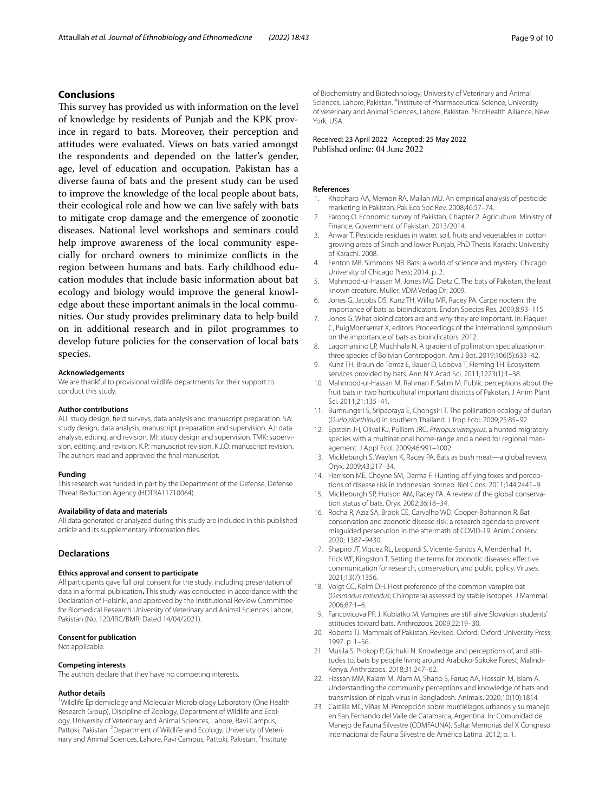## **Conclusions**

This survey has provided us with information on the level of knowledge by residents of Punjab and the KPK province in regard to bats. Moreover, their perception and attitudes were evaluated. Views on bats varied amongst the respondents and depended on the latter's gender, age, level of education and occupation. Pakistan has a diverse fauna of bats and the present study can be used to improve the knowledge of the local people about bats, their ecological role and how we can live safely with bats to mitigate crop damage and the emergence of zoonotic diseases. National level workshops and seminars could help improve awareness of the local community especially for orchard owners to minimize conficts in the region between humans and bats. Early childhood education modules that include basic information about bat ecology and biology would improve the general knowledge about these important animals in the local communities. Our study provides preliminary data to help build on in additional research and in pilot programmes to develop future policies for the conservation of local bats species.

## **Acknowledgements**

We are thankful to provisional wildlife departments for their support to conduct this study.

#### **Author contributions**

AU: study design, feld surveys, data analysis and manuscript preparation. SA: study design, data analysis, manuscript preparation and supervision. AJ: data analysis, editing, and revision. MI: study design and supervision. TMK: supervision, editing, and revision. K.P: manuscript revision. K.J.O: manuscript revision. The authors read and approved the fnal manuscript.

#### **Funding**

This research was funded in part by the Department of the Defense, Defense Threat Reduction Agency (HDTRA11710064).

#### **Availability of data and materials**

All data generated or analyzed during this study are included in this published article and its supplementary information fles.

#### **Declarations**

## **Ethics approval and consent to participate**

All participants gave full oral consent for the study, including presentation of data in a formal publication**.** This study was conducted in accordance with the Declaration of Helsinki, and approved by the Institutional Review Committee for Biomedical Research University of Veterinary and Animal Sciences Lahore, Pakistan (No. 120/IRC/BMR; Dated 14/04/2021).

#### **Consent for publication**

Not applicable.

#### **Competing interests**

The authors declare that they have no competing interests.

#### **Author details**

<sup>1</sup> Wildlife Epidemiology and Molecular Microbiology Laboratory (One Health Research Group), Discipline of Zoology, Department of Wildlife and Ecology, University of Veterinary and Animal Sciences, Lahore, Ravi Campus, Pattoki, Pakistan. <sup>2</sup> Department of Wildlife and Ecology, University of Veterinary and Animal Sciences, Lahore, Ravi Campus, Pattoki, Pakistan. <sup>3</sup>Institute

of Biochemistry and Biotechnology, University of Veterinary and Animal Sciences, Lahore, Pakistan. <sup>4</sup>Institute of Pharmaceutical Science, University of Veterinary and Animal Sciences, Lahore, Pakistan. <sup>5</sup> EcoHealth Alliance, New York, USA.

Received: 23 April 2022 Accepted: 25 May 2022 Published online: 04 June 2022

#### **References**

- <span id="page-8-0"></span>1. Khooharo AA, Memon RA, Mallah MU. An empirical analysis of pesticide marketing in Pakistan. Pak Eco Soc Rev. 2008;46:57–74.
- <span id="page-8-1"></span>2. Farooq O. Economic survey of Pakistan, Chapter 2. Agriculture, Ministry of Finance, Government of Pakistan. 2013/2014.
- <span id="page-8-2"></span>Anwar T. Pesticide residues in water, soil, fruits and vegetables in cotton growing areas of Sindh and lower Punjab, PhD Thesis. Karachi: University of Karachi. 2008.
- <span id="page-8-3"></span>4. Fenton MB, Simmons NB. Bats: a world of science and mystery. Chicago: University of Chicago Press; 2014. p. 2.
- <span id="page-8-4"></span>5. Mahmood-ul-Hassan M, Jones MG, Dietz C. The bats of Pakistan, the least known creature. Muller: VDM Verlag Dr; 2009.
- <span id="page-8-5"></span>6. Jones G, Jacobs DS, Kunz TH, Willig MR, Racey PA. Carpe noctem: the importance of bats as bioindicators. Endan Species Res. 2009;8:93–115.
- <span id="page-8-6"></span>7. Jones G. What bioindicators are and why they are important. In: Flaquer C, PuigMontserrat X, editors. Proceedings of the international symposium on the importance of bats as bioindicators. 2012.
- <span id="page-8-7"></span>8. Lagomarsino LP, Muchhala N. A gradient of pollination specialization in three species of Bolivian Centropogon. Am J Bot. 2019;106(5):633–42.
- <span id="page-8-8"></span>9. Kunz TH, Braun de Torrez E, Bauer D, Lobova T, Fleming TH. Ecosystem services provided by bats. Ann N Y Acad Sci. 2011;1223(1):1–38.
- <span id="page-8-9"></span>10. Mahmood-ul-Hassan M, Rahman F, Salim M. Public perceptions about the fruit bats in two horticultural important districts of Pakistan. J Anim Plant Sci. 2011:21:135-41.
- <span id="page-8-10"></span>11. Bumrungsri S, Sripaoraya E, Chongsiri T. The pollination ecology of durian (*Durio zibethinus*) in southern Thailand. J Trop Ecol. 2009;25:85–92.
- <span id="page-8-11"></span>12. Epstein JH, Olival KJ, Pulliam JRC. *Pteropus vampyrus*, a hunted migratory species with a multinational home-range and a need for regional management. J Appl Ecol. 2009;46:991–1002.
- 13. Mickleburgh S, Waylen K, Racey PA. Bats as bush meat—a global review. Oryx. 2009;43:217–34.
- <span id="page-8-12"></span>14. Harrison ME, Cheyne SM, Darma F. Hunting of flying foxes and perceptions of disease risk in Indonesian Borneo. Biol Cons. 2011;144:2441–9.
- <span id="page-8-13"></span>15. Mickleburgh SP, Hutson AM, Racey PA. A review of the global conservation status of bats. Oryx. 2002;36:18–34.
- <span id="page-8-14"></span>16. Rocha R, Aziz SA, Brook CE, Carvalho WD, Cooper-Bohannon R. Bat conservation and zoonotic disease risk: a research agenda to prevent misguided persecution in the aftermath of COVID-19. Anim Conserv. 2020; 1387–9430.
- <span id="page-8-15"></span>17. Shapiro JT, Víquez RL, Leopardi S, Vicente-Santos A, Mendenhall IH, Frick WF, Kingston T. Setting the terms for zoonotic diseases: efective communication for research, conservation, and public policy. Viruses. 2021;13(7):1356.
- <span id="page-8-16"></span>18. Voigt CC, Kelm DH. Host preference of the common vampire bat (*Desmodus rotundus*; Chiroptera) assessed by stable isotopes. J Mammal. 2006;87:1–6.
- <span id="page-8-17"></span>19. Fancovicova PP, J. Kubiatko M. Vampires are still alive Slovakian students' attitudes toward bats. Anthrozoos. 2009;22:19–30.
- <span id="page-8-18"></span>20. Roberts TJ. Mammals of Pakistan. Revised. Oxford: Oxford University Press; 1997. p. 1–56.
- <span id="page-8-19"></span>21. Musila S, Prokop P, Gichuki N. Knowledge and perceptions of, and attitudes to, bats by people living around Arabuko-Sokoke Forest, Malindi-Kenya. Anthrozoos. 2018;31:247–62.
- <span id="page-8-20"></span>22. Hassan MM, Kalam M, Alam M, Shano S, Faruq AA, Hossain M, Islam A. Understanding the community perceptions and knowledge of bats and transmission of nipah virus in Bangladesh. Animals. 2020;10(10):1814.
- <span id="page-8-21"></span>23. Castilla MC, Viñas M. Percepción sobre murciélagos urbanos y su manejo en San Fernando del Valle de Catamarca, Argentina. In: Comunidad de Manejo de Fauna Silvestre (COMFAUNA). Salta: Memorias del X Congreso Internacional de Fauna Silvestre de América Latina. 2012; p. 1.